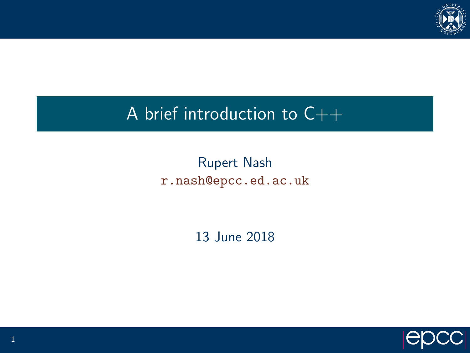

# A brief introduction to  $C++$

## Rupert Nash <r.nash@epcc.ed.ac.uk>

13 June 2018

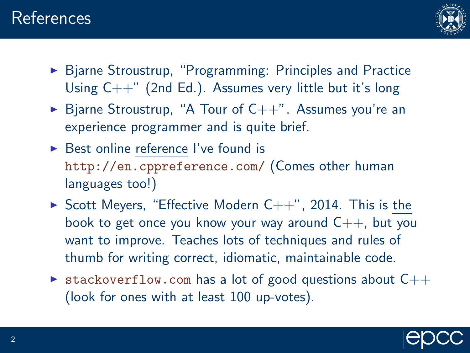

- ▶ Bjarne Stroustrup, "Programming: Principles and Practice Using  $C++$ " (2nd Ed.). Assumes very little but it's long
- $\triangleright$  Bjarne Stroustrup, "A Tour of C++". Assumes you're an experience programmer and is quite brief.
- $\triangleright$  Best online reference I've found is <http://en.cppreference.com/> (Comes other human languages too!)
- $\triangleright$  Scott Meyers, "Effective Modern C++", 2014. This is the book to get once you know your way around  $C_{++}$ , but you want to improve. Teaches lots of techniques and rules of thumb for writing correct, idiomatic, maintainable code.
- $\triangleright$  <stackoverflow.com> has a lot of good questions about  $C++$ (look for ones with at least 100 up-votes).

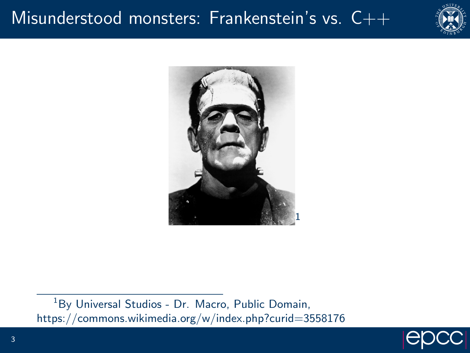## Misunderstood monsters: Frankenstein's vs.  $C++$





<sup>1</sup>By Universal Studios - Dr. Macro, Public Domain, https://commons.wikimedia.org/w/index.php?curid=3558176

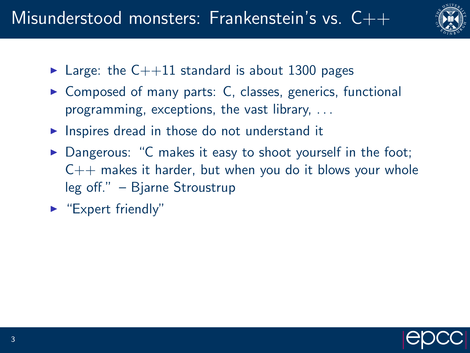

- $\blacktriangleright$  Large: the C++11 standard is about 1300 pages
- $\triangleright$  Composed of many parts: C, classes, generics, functional programming, exceptions, the vast library, . . .
- $\triangleright$  Inspires dread in those do not understand it
- $\triangleright$  Dangerous: "C makes it easy to shoot yourself in the foot;  $C_{++}$  makes it harder, but when you do it blows your whole leg off." – Bjarne Stroustrup
- $\blacktriangleright$  "Expert friendly"

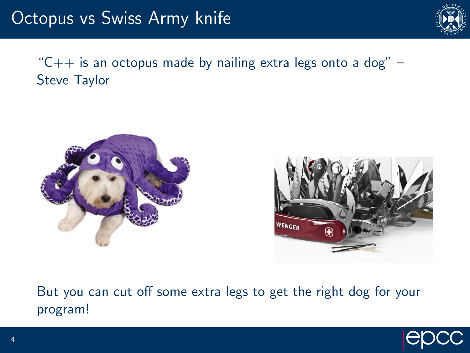

" $C++$  is an octopus made by nailing extra legs onto a dog"  $-$ Steve Taylor





But you can cut off some extra legs to get the right dog for your program!

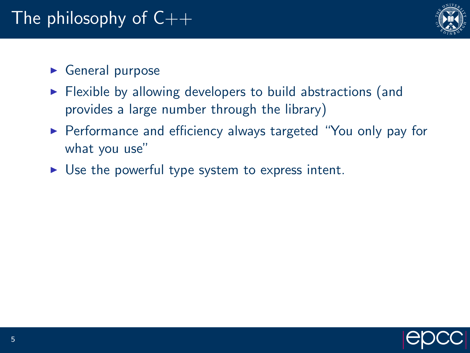

### $\triangleright$  General purpose

- $\triangleright$  Flexible by allowing developers to build abstractions (and provides a large number through the library)
- ▶ Performance and efficiency always targeted "You only pay for what you use"
- $\triangleright$  Use the powerful type system to express intent.

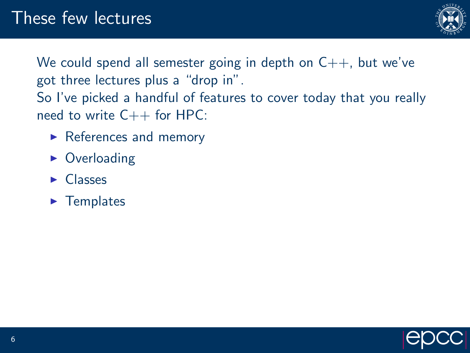

We could spend all semester going in depth on  $C_{++}$ , but we've got three lectures plus a "drop in". So I've picked a handful of features to cover today that you really need to write  $C++$  for HPC:

- $\blacktriangleright$  References and memory
- $\triangleright$  Overloading
- $\blacktriangleright$  Classes
- $\blacktriangleright$  Templates

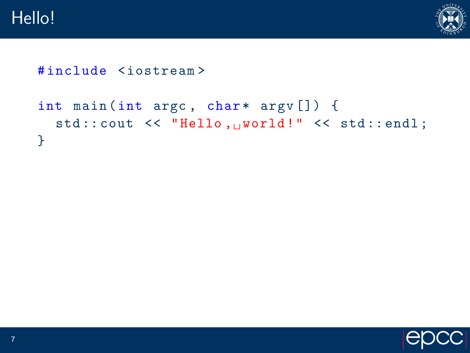

```
# include < iostream >
```

```
int main (int argc, char* argv[]) {
  std:: cout << "Hello, world!" << std:: endl;
}
```
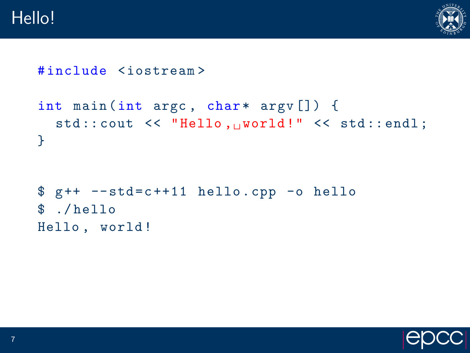

```
# include < iostream >
```

```
int main (int argc, char* argv[]) {
  std::count << "Hello, "world!" << std::end1;}
```

```
$ g++ -std=c++11 hello.cpp -o hello$ ./ hello
Hello , world !
```
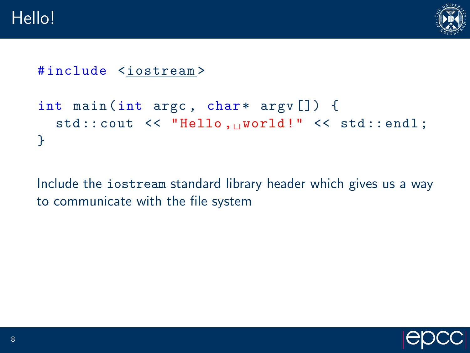

```
# include <iostream >
```

```
int main (int argc, char* argv[]) {
  std::count << "Hello, "world!" << std::end1;}
```
Include the iostream standard library header which gives us a way to communicate with the file system

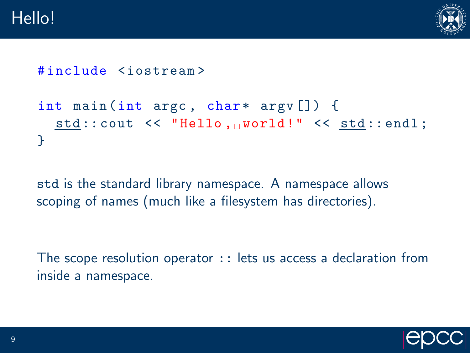

```
# include < iostream >
```

```
int main (int argc, char* argv[]) {
  std::count << "Hello, "world!" << std::end1;}
```
std is the standard library namespace. A namespace allows scoping of names (much like a filesystem has directories).

The scope resolution operator :: lets us access a declaration from inside a namespace.

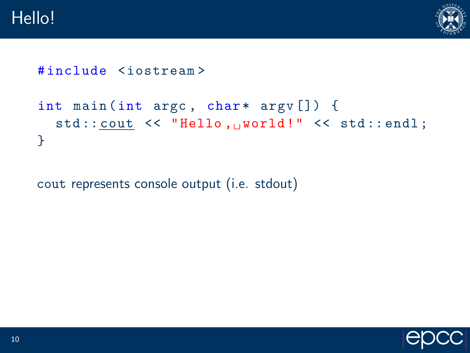

```
# include < iostream >
```

```
int main (int argc, char* argv[]) {
  std::count << "Hello, "world!" << std::end1;}
```
cout represents console output (i.e. stdout)

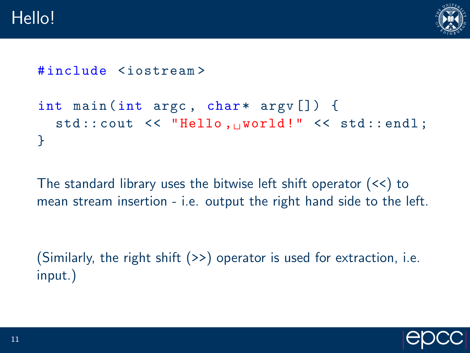

```
# include < iostream >
```

```
int main (int argc, char* argv[]) {
  std::count << "Hello, "world!" << std::end1;}
```
The standard library uses the bitwise left shift operator (<<) to mean stream insertion - i.e. output the right hand side to the left.

(Similarly, the right shift (>>) operator is used for extraction, i.e. input.)

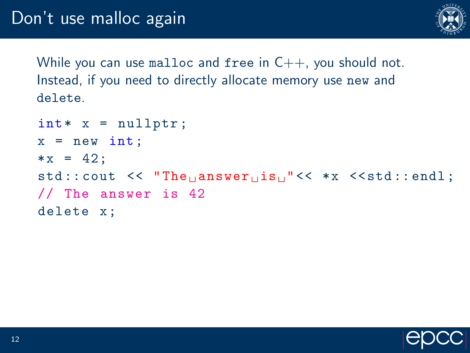

While you can use malloc and free in  $C_{++}$ , you should not. Instead, if you need to directly allocate memory use new and delete.

```
\texttt{int} * x = \texttt{nullptr};
x = new int;* x = 42:std::count \leq \text{``The} answer is_{11}" << *x \leqstd::endl;
// The answer is 42
delete x ;
```
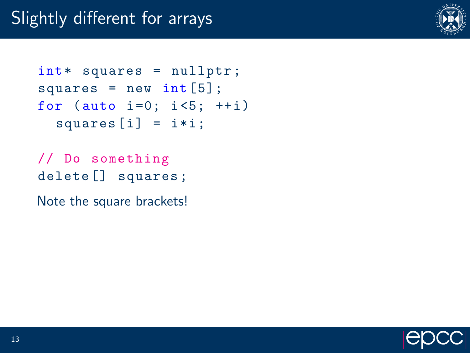

```
int * squares = nullptr;squares = new int [5];for (auto i = 0; i < 5; ++i)
  square[i] = i*i;
```
// Do something delete [] squares ;

Note the square brackets!

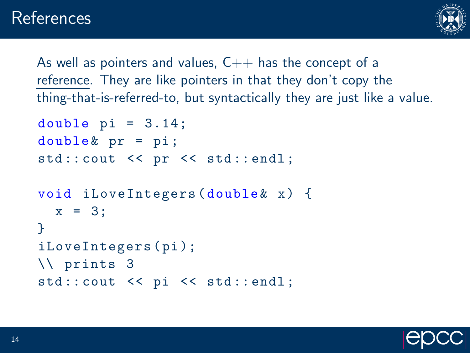

As well as pointers and values,  $C++$  has the concept of a reference. They are like pointers in that they don't copy the thing-that-is-referred-to, but syntactically they are just like a value.

```
double pi = 3.14;
double \& pr = pi;std:: cout << pr << std:: endl;
void iLoveIntegers (double & x) {
  x = 3;
}
iLoveIntegers ( pi );
\\ prints 3
```

```
std:: cout << pi << std:: endl;
```
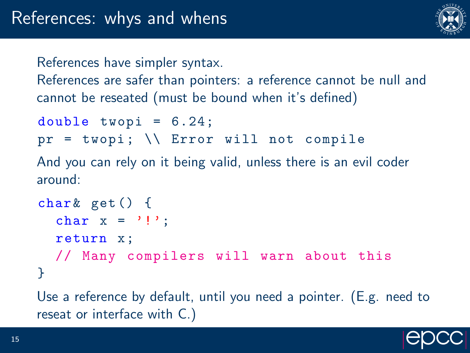

References have simpler syntax.

References are safer than pointers: a reference cannot be null and cannot be reseated (must be bound when it's defined)

```
double twopi = 6.24;
pr = twopi; \setminus Error will not compile
```
And you can rely on it being valid, unless there is an evil coder around:

```
char\& get () {
  char x ='!':
  return x;
  // Many compilers will warn about this
}
```
Use a reference by default, until you need a pointer. (E.g. need to reseat or interface with C.)

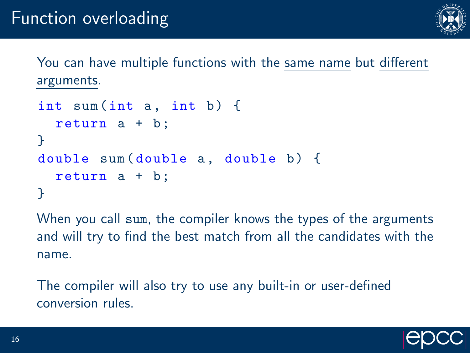

You can have multiple functions with the same name but different arguments.

```
int sum (int a, int b) {
  return a + b;
}
double sum (double a, double b) {
  return a + b;
}
```
When you call sum, the compiler knows the types of the arguments and will try to find the best match from all the candidates with the name.

The compiler will also try to use any built-in or user-defined conversion rules.

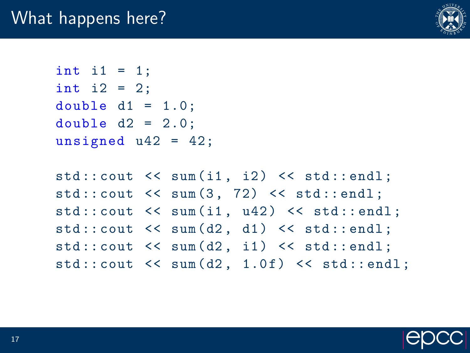

int i1 =  $1$ ; int i2 = 2; double  $d1 = 1.0$ ; double  $d2 = 2.0$ : unsigned  $u42 = 42$ ;

 $std::count \leq sum(i1, i2) \leq stat::end1;$  $std::count \leq sum(3, 72) \leq std::end1;$  $std::count \leq \text{sum}(i1, u42) \leq \text{std}::end1;$  $std::count \leq sum(d2, d1) \leq start::end1;$  $std::count \leq sum(d2, i1) \leq start::end1;$  $std::count \leq \text{sum}(d2, 1.0f) \leq \text{std::endl}$ ;

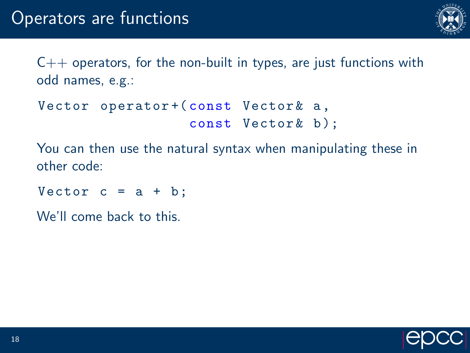

 $C++$  operators, for the non-built in types, are just functions with odd names, e.g.:

```
Vector operator+ (const Vector & a,
                  const Vector & b):
```
You can then use the natural syntax when manipulating these in other code:

Vector  $c = a + b$ ;

We'll come back to this.

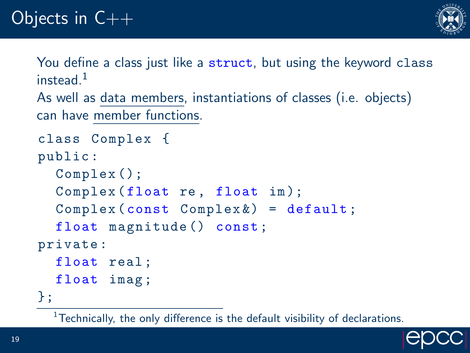

You define a class just like a struct, but using the keyword class instead $1$ 

```
As well as data members, instantiations of classes (i.e. objects)
can have member functions.
```

```
class Complex {
public :
  Complex ();
  Complex (float re, float im);
  Complex(const Complex) = default;
  float magnitude () const;
private :
  float real ;
  float imag ;
};
```
 $1$ Technically, the only difference is the default visibility of declarations.

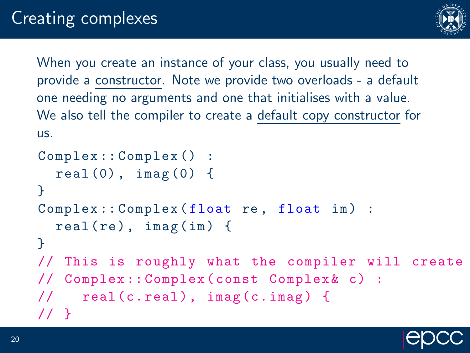

When you create an instance of your class, you usually need to provide a constructor. Note we provide two overloads - a default one needing no arguments and one that initialises with a value. We also tell the compiler to create a default copy constructor for us.

```
Complex :: Complex () :
  real(0), imag(0) {
}
Complex:: Complex (float re, float im) :
  real(re), imag(in) {
}
// This is roughly what the compiler will create
// Complex :: Complex ( const Complex & c) :
\frac{1}{2} real (c. real), imag (c. imag) {
// }
```
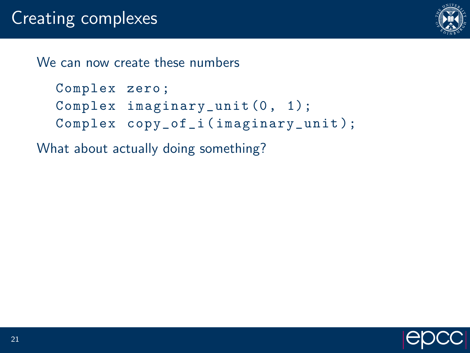

We can now create these numbers

```
Complex zero ;
Complex imaginary_unit (0, 1);
Complex copy_of_i ( imaginary_unit );
```
What about actually doing something?

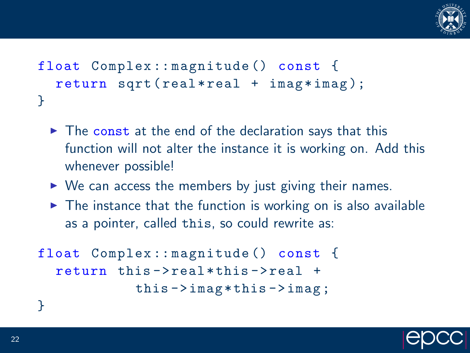

```
float Complex:: magnitude () const {
  return sqrt (real*real + imag*imag);
}
```
- $\triangleright$  The const at the end of the declaration says that this function will not alter the instance it is working on. Add this whenever possible!
- $\triangleright$  We can access the members by just giving their names.
- $\triangleright$  The instance that the function is working on is also available as a pointer, called this, so could rewrite as:

```
float Complex:: magnitude () const {
  return this - > real * this - > real +
             this ->imag * this ->imag;
```


}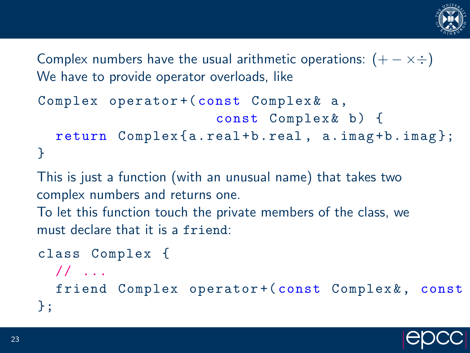

Complex numbers have the usual arithmetic operations:  $(+ - \times \div)$ We have to provide operator overloads, like

```
Complex operator + ( const Complex \& a,
                        const Complex & b) {
  return Complex {a. real + b. real, a. imag + b. imag };
}
```
This is just a function (with an unusual name) that takes two complex numbers and returns one.

To let this function touch the private members of the class, we must declare that it is a friend:

```
class Complex {
  // ...
  friend Complex operator+(const Complex &, const
};
```
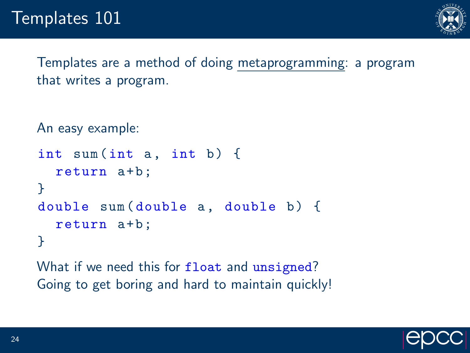

Templates are a method of doing metaprogramming: a program that writes a program.

```
An easy example:
int sum (int a, int b) {
  return a+b;
}
double sum (double a, double b) {
  return a+b;
}
```
What if we need this for float and unsigned? Going to get boring and hard to maintain quickly!

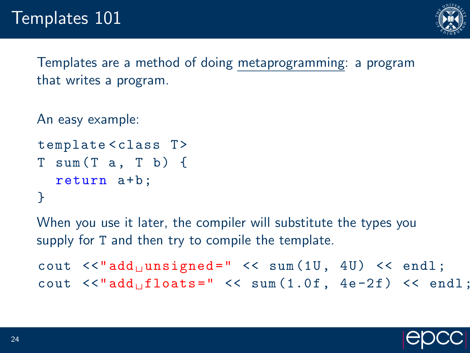

Templates are a method of doing metaprogramming: a program that writes a program.

```
An easy example:
```

```
template<class T>
T \text{ sum} (T \text{ a. } T \text{ b}) {
   return a+b;
}
```
When you use it later, the compiler will substitute the types you supply for T and then try to compile the template.

```
cout \langle\langle \cdot \rangle add unsigned = " \langle\langle \cdot \rangle sum (1U, 4U) \langle\langle \cdot \rangle endl;
cout \lt\lt" add_{\sqcup}floats = " \lt\lt" sum(1.0f, 4e-2f) \lt\lt" end1;
```
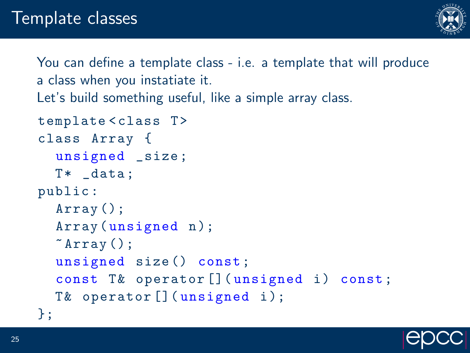

You can define a template class - i.e. a template that will produce a class when you instatiate it.

Let's build something useful, like a simple array class.

```
template < class T>
class Array {
  unsigned _size ;
  T* _data;
public :
  Array ();
  Array (unsigned n);
  \tilde{f}Array ();
  unsigned size () const ;
  const T& operator [] (unsigned i) const;
  T& operator [] (unsigned i);
};
```
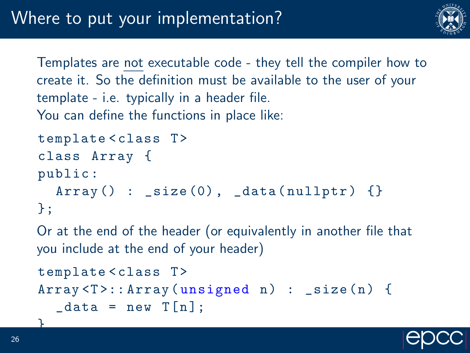

Templates are not executable code - they tell the compiler how to create it. So the definition must be available to the user of your template - i.e. typically in a header file. You can define the functions in place like:

```
template < class T>
class Array {
public :
  Array() : <code>_size(0), <code>_data(nullptr)</code>\}:
```
Or at the end of the header (or equivalently in another file that you include at the end of your header)

```
template < class T>
Array < T >::\text{Array} (unsigned n): \text{size}( n) \{\text{\_}data = \text{new } T[n];
```


}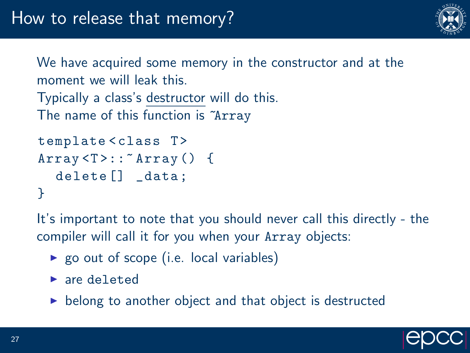

We have acquired some memory in the constructor and at the moment we will leak this. Typically a class's destructor will do this.

The name of this function is "Array

```
template<class T>
Array < T:: "Array() {
  delete<sup>[]</sup> _data;
}
```
It's important to note that you should never call this directly - the compiler will call it for you when your Array objects:

- $\triangleright$  go out of scope (i.e. local variables)
- $\blacktriangleright$  are deleted
- $\triangleright$  belong to another object and that object is destructed

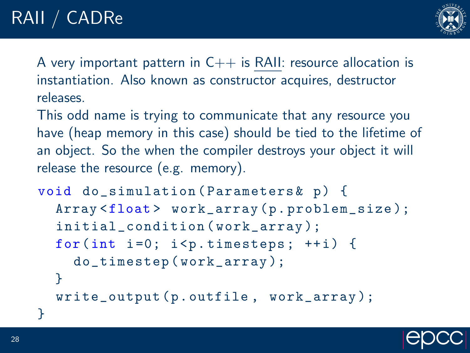

A very important pattern in  $C++$  is RAII: resource allocation is instantiation. Also known as constructor acquires, destructor releases.

This odd name is trying to communicate that any resource you have (heap memory in this case) should be tied to the lifetime of an object. So the when the compiler destroys your object it will release the resource (e.g. memory).

```
void do_simulation (Parameters k p) {
  Array <float> work_array (p.problem_size);
  initial_condition ( work_array );
  for(int i=0; i<p.timesteps; ++i) {
    do_timestep ( work_array );
  }
  write_output (p.outfile, work_array);
}
```
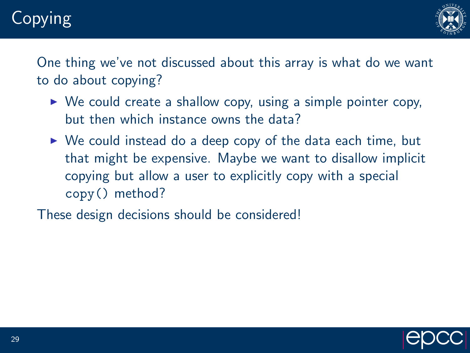# Copying



One thing we've not discussed about this array is what do we want to do about copying?

- $\triangleright$  We could create a shallow copy, using a simple pointer copy, but then which instance owns the data?
- $\triangleright$  We could instead do a deep copy of the data each time, but that might be expensive. Maybe we want to disallow implicit copying but allow a user to explicitly copy with a special copy() method?

These design decisions should be considered!

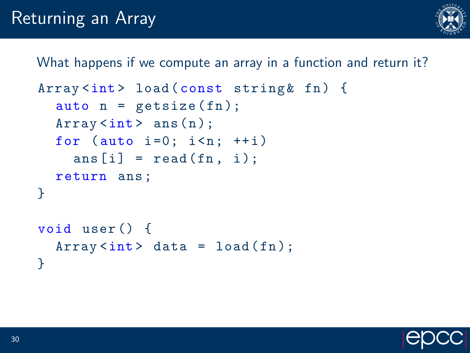

What happens if we compute an array in a function and return it?

```
Array<int> load (const string & fn) {
  auto n = getsize(fn);Array <math>\{int} ans (n);
  for (auto i=0; i \le n; ++i)
    ans[i] = read(fn, i);return ans ;
}
void user () {
  Array<int data = load (fn);
}
```
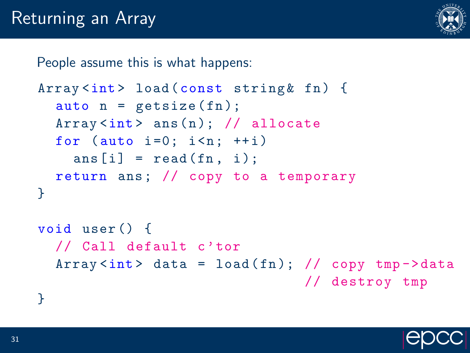

People assume this is what happens:

```
Array <int> load (const string & fn) {
  auto n = getsize(fn);Array<int ans (n); // allocate
  for (auto i=0; i \le n; ++i)
    ans[i] = read(fn, i);return ans; // copy to a temporary
}
```

```
void user () {
  // Call default c'tor
  Array \langleint > data = load (\text{fn}); // copy tmp -> data
                                    // destroy tmp
```
}

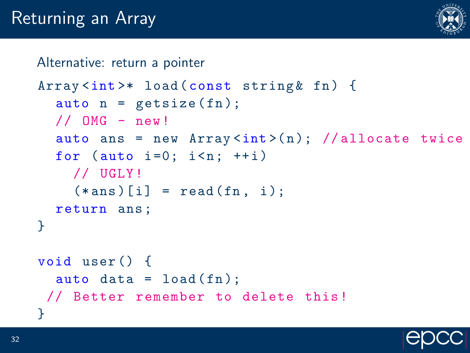

#### Alternative: return a pointer

```
Array <int>* load (const string & fn) {
  auto n = getsize(fn);// OMG - new!
  auto ans = new Array<int>(n); //allocate twice
  for (auto i=0; i \le n; ++i)
    // UGLY !
    (*ans)[i] = read(fn, i);
  return ans ;
}
void user () {
  auto data = load(fn);
// Better remember to delete this !
}
```
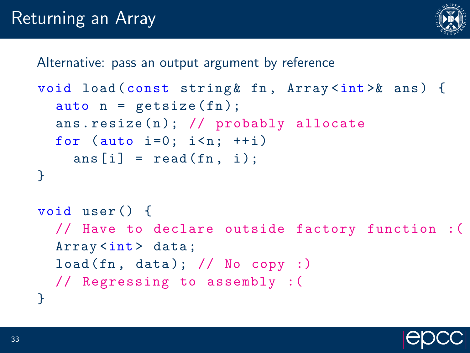

Alternative: pass an output argument by reference

```
void load (const string & fn, Array <int > & ans) {
  auto n = getsize(fn);ans.resize(n); // probably allocate
  for (auto i=0; i \le n; ++i)
    ans [i] = read (fn, i);
}
void user () {
  // Have to declare outside factory function :(
  Array <int > data;
  load (fn, data); // No copy :)// Regressing to assembly :(
}
```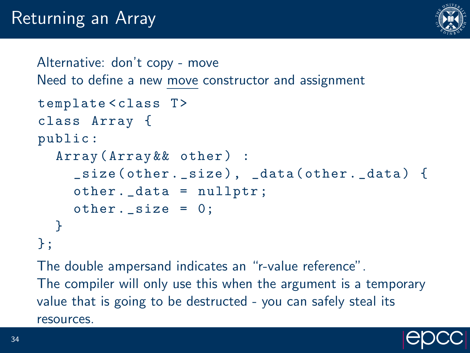

```
Alternative: don't copy - move
Need to define a new move constructor and assignment
template<class T>
class Array {
public :
  Array (Array && other) :
     _size ( other . _size ) , _data ( other . _data ) {
     other . _data = nullptr ;
     other._{size} = 0;}
\}:
```
The double ampersand indicates an "r-value reference". The compiler will only use this when the argument is a temporary value that is going to be destructed - you can safely steal its resources.

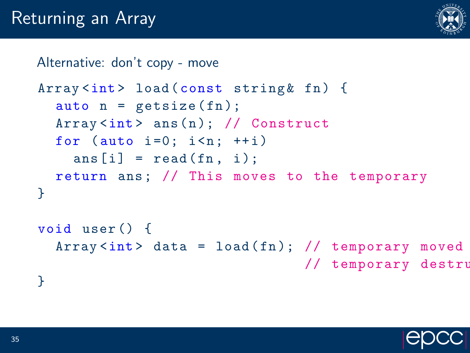

#### Alternative: don't copy - move

```
Array<int> load (const string& fn) {
  auto n = getsize(fn);Array<int ans (n); // Construct
  for (auto i=0; i \le n; ++i)
    ans[i] = read(fn, i);return ans; // This moves to the temporary
}
```

```
void user () {
  Array \langle int \rangle data = load (\text{fn}); // temporary moved
                                        // temporary destru
}
```